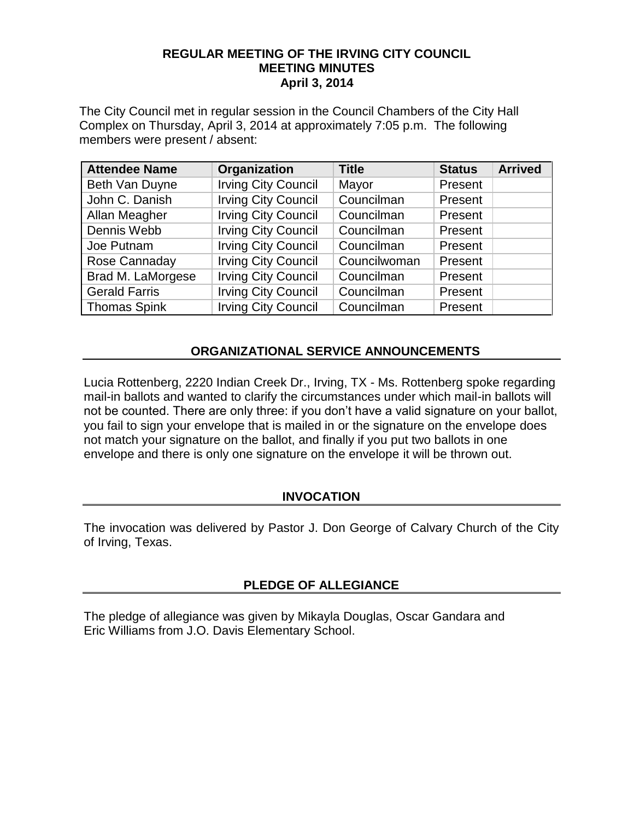#### **REGULAR MEETING OF THE IRVING CITY COUNCIL MEETING MINUTES April 3, 2014**

The City Council met in regular session in the Council Chambers of the City Hall Complex on Thursday, April 3, 2014 at approximately 7:05 p.m. The following members were present / absent:

| <b>Attendee Name</b> | Organization               | <b>Title</b> | <b>Status</b> | <b>Arrived</b> |
|----------------------|----------------------------|--------------|---------------|----------------|
| Beth Van Duyne       | <b>Irving City Council</b> | Mayor        | Present       |                |
| John C. Danish       | <b>Irving City Council</b> | Councilman   | Present       |                |
| Allan Meagher        | <b>Irving City Council</b> | Councilman   | Present       |                |
| Dennis Webb          | <b>Irving City Council</b> | Councilman   | Present       |                |
| Joe Putnam           | <b>Irving City Council</b> | Councilman   | Present       |                |
| Rose Cannaday        | <b>Irving City Council</b> | Councilwoman | Present       |                |
| Brad M. LaMorgese    | <b>Irving City Council</b> | Councilman   | Present       |                |
| <b>Gerald Farris</b> | <b>Irving City Council</b> | Councilman   | Present       |                |
| <b>Thomas Spink</b>  | <b>Irving City Council</b> | Councilman   | Present       |                |

## **ORGANIZATIONAL SERVICE ANNOUNCEMENTS**

Lucia Rottenberg, 2220 Indian Creek Dr., Irving, TX - Ms. Rottenberg spoke regarding mail-in ballots and wanted to clarify the circumstances under which mail-in ballots will not be counted. There are only three: if you don't have a valid signature on your ballot, you fail to sign your envelope that is mailed in or the signature on the envelope does not match your signature on the ballot, and finally if you put two ballots in one envelope and there is only one signature on the envelope it will be thrown out.

#### **INVOCATION**

The invocation was delivered by Pastor J. Don George of Calvary Church of the City of Irving, Texas.

#### **PLEDGE OF ALLEGIANCE**

The pledge of allegiance was given by Mikayla Douglas, Oscar Gandara and Eric Williams from J.O. Davis Elementary School.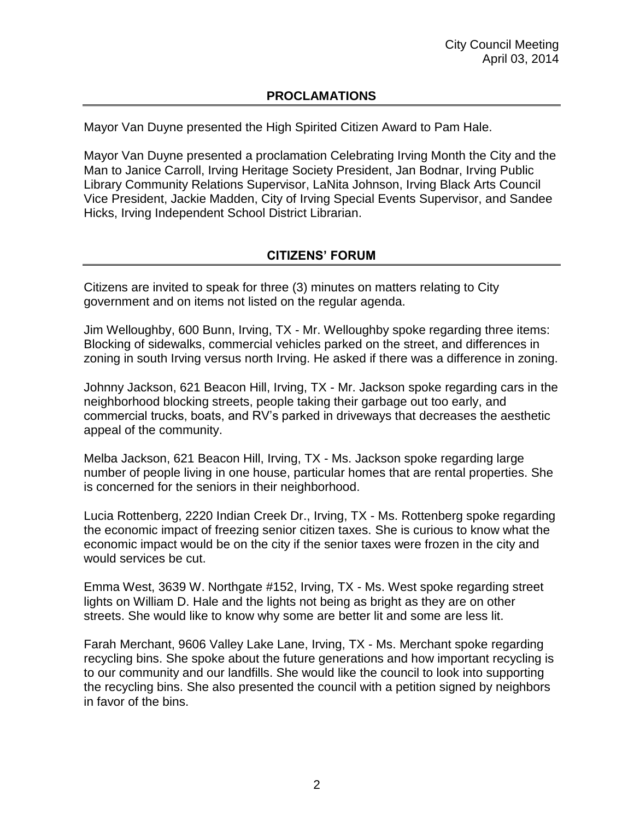# **PROCLAMATIONS**

Mayor Van Duyne presented the High Spirited Citizen Award to Pam Hale.

Mayor Van Duyne presented a proclamation Celebrating Irving Month the City and the Man to Janice Carroll, Irving Heritage Society President, Jan Bodnar, Irving Public Library Community Relations Supervisor, LaNita Johnson, Irving Black Arts Council Vice President, Jackie Madden, City of Irving Special Events Supervisor, and Sandee Hicks, Irving Independent School District Librarian.

# **CITIZENS' FORUM**

Citizens are invited to speak for three (3) minutes on matters relating to City government and on items not listed on the regular agenda.

Jim Welloughby, 600 Bunn, Irving, TX - Mr. Welloughby spoke regarding three items: Blocking of sidewalks, commercial vehicles parked on the street, and differences in zoning in south Irving versus north Irving. He asked if there was a difference in zoning.

Johnny Jackson, 621 Beacon Hill, Irving, TX - Mr. Jackson spoke regarding cars in the neighborhood blocking streets, people taking their garbage out too early, and commercial trucks, boats, and RV's parked in driveways that decreases the aesthetic appeal of the community.

Melba Jackson, 621 Beacon Hill, Irving, TX - Ms. Jackson spoke regarding large number of people living in one house, particular homes that are rental properties. She is concerned for the seniors in their neighborhood.

Lucia Rottenberg, 2220 Indian Creek Dr., Irving, TX - Ms. Rottenberg spoke regarding the economic impact of freezing senior citizen taxes. She is curious to know what the economic impact would be on the city if the senior taxes were frozen in the city and would services be cut.

Emma West, 3639 W. Northgate #152, Irving, TX - Ms. West spoke regarding street lights on William D. Hale and the lights not being as bright as they are on other streets. She would like to know why some are better lit and some are less lit.

Farah Merchant, 9606 Valley Lake Lane, Irving, TX - Ms. Merchant spoke regarding recycling bins. She spoke about the future generations and how important recycling is to our community and our landfills. She would like the council to look into supporting the recycling bins. She also presented the council with a petition signed by neighbors in favor of the bins.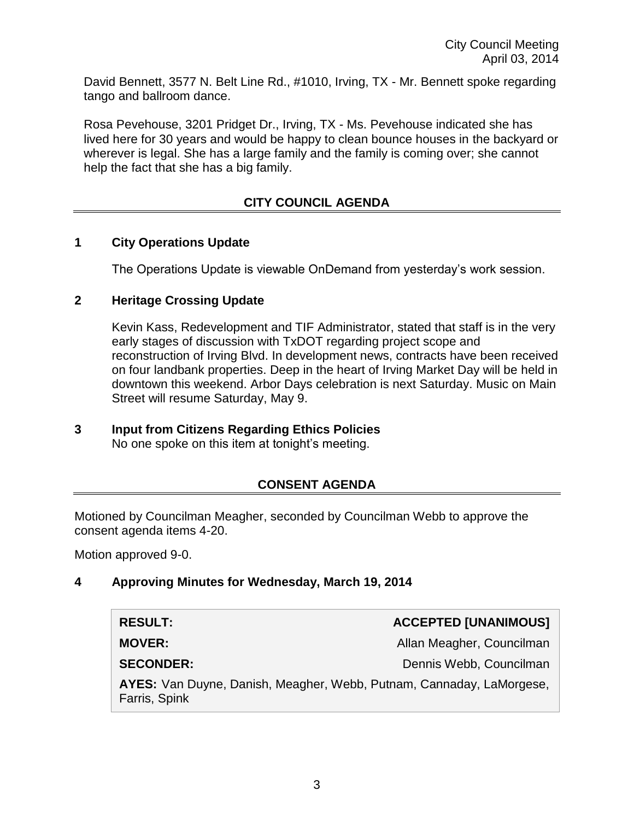David Bennett, 3577 N. Belt Line Rd., #1010, Irving, TX - Mr. Bennett spoke regarding tango and ballroom dance.

Rosa Pevehouse, 3201 Pridget Dr., Irving, TX - Ms. Pevehouse indicated she has lived here for 30 years and would be happy to clean bounce houses in the backyard or wherever is legal. She has a large family and the family is coming over; she cannot help the fact that she has a big family.

# **CITY COUNCIL AGENDA**

## **1 City Operations Update**

The Operations Update is viewable OnDemand from yesterday's work session.

#### **2 Heritage Crossing Update**

Kevin Kass, Redevelopment and TIF Administrator, stated that staff is in the very early stages of discussion with TxDOT regarding project scope and reconstruction of Irving Blvd. In development news, contracts have been received on four landbank properties. Deep in the heart of Irving Market Day will be held in downtown this weekend. Arbor Days celebration is next Saturday. Music on Main Street will resume Saturday, May 9.

#### **3 Input from Citizens Regarding Ethics Policies** No one spoke on this item at tonight's meeting.

# **CONSENT AGENDA**

Motioned by Councilman Meagher, seconded by Councilman Webb to approve the consent agenda items 4-20.

Motion approved 9-0.

#### **4 Approving Minutes for Wednesday, March 19, 2014**

| <b>RESULT:</b>                                                                        | <b>ACCEPTED [UNANIMOUS]</b> |  |
|---------------------------------------------------------------------------------------|-----------------------------|--|
| <b>MOVER:</b>                                                                         | Allan Meagher, Councilman   |  |
| <b>SECONDER:</b>                                                                      | Dennis Webb, Councilman     |  |
| AYES: Van Duyne, Danish, Meagher, Webb, Putnam, Cannaday, LaMorgese,<br>Farris, Spink |                             |  |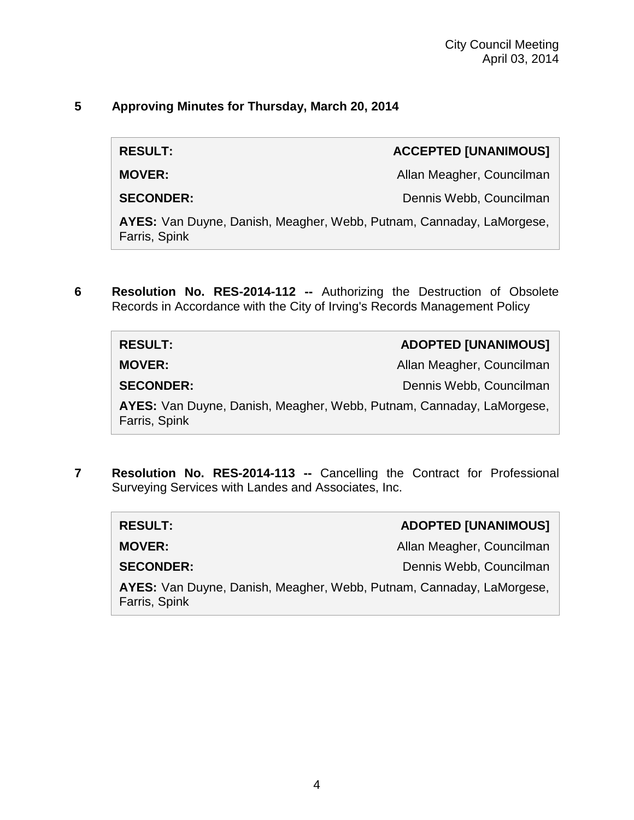# **5 Approving Minutes for Thursday, March 20, 2014**

**RESULT: ACCEPTED [UNANIMOUS]**

**MOVER: MOVER: Allan Meagher, Councilman** 

**SECONDER:** Dennis Webb, Councilman

**AYES:** Van Duyne, Danish, Meagher, Webb, Putnam, Cannaday, LaMorgese, Farris, Spink

**6 Resolution No. RES-2014-112 --** Authorizing the Destruction of Obsolete Records in Accordance with the City of Irving's Records Management Policy

| <b>RESULT:</b>                                                                        | <b>ADOPTED [UNANIMOUS]</b> |
|---------------------------------------------------------------------------------------|----------------------------|
| <b>MOVER:</b>                                                                         | Allan Meagher, Councilman  |
| <b>SECONDER:</b>                                                                      | Dennis Webb, Councilman    |
| AYES: Van Duyne, Danish, Meagher, Webb, Putnam, Cannaday, LaMorgese,<br>Farris, Spink |                            |

**7 Resolution No. RES-2014-113 --** Cancelling the Contract for Professional Surveying Services with Landes and Associates, Inc.

| <b>RESULT:</b>                                                                        | <b>ADOPTED [UNANIMOUS]</b> |  |
|---------------------------------------------------------------------------------------|----------------------------|--|
| <b>MOVER:</b>                                                                         | Allan Meagher, Councilman  |  |
| <b>SECONDER:</b>                                                                      | Dennis Webb, Councilman    |  |
| AYES: Van Duyne, Danish, Meagher, Webb, Putnam, Cannaday, LaMorgese,<br>Farris, Spink |                            |  |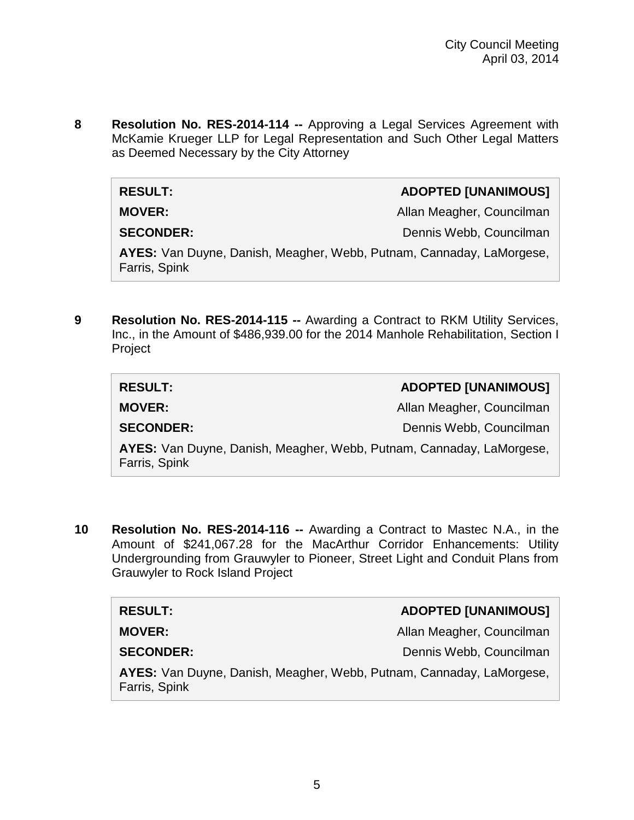**8 Resolution No. RES-2014-114 --** Approving a Legal Services Agreement with McKamie Krueger LLP for Legal Representation and Such Other Legal Matters as Deemed Necessary by the City Attorney

| <b>RESULT:</b>                                                                        | <b>ADOPTED [UNANIMOUS]</b> |  |
|---------------------------------------------------------------------------------------|----------------------------|--|
| <b>MOVER:</b>                                                                         | Allan Meagher, Councilman  |  |
| <b>SECONDER:</b>                                                                      | Dennis Webb, Councilman    |  |
| AYES: Van Duyne, Danish, Meagher, Webb, Putnam, Cannaday, LaMorgese,<br>Farris, Spink |                            |  |

**9 Resolution No. RES-2014-115 --** Awarding a Contract to RKM Utility Services, Inc., in the Amount of \$486,939.00 for the 2014 Manhole Rehabilitation, Section I Project

| <b>RESULT:</b>                                                                        | <b>ADOPTED [UNANIMOUS]</b> |
|---------------------------------------------------------------------------------------|----------------------------|
| <b>MOVER:</b>                                                                         | Allan Meagher, Councilman  |
| <b>SECONDER:</b>                                                                      | Dennis Webb, Councilman    |
| AYES: Van Duyne, Danish, Meagher, Webb, Putnam, Cannaday, LaMorgese,<br>Farris, Spink |                            |

**10 Resolution No. RES-2014-116 --** Awarding a Contract to Mastec N.A., in the Amount of \$241,067.28 for the MacArthur Corridor Enhancements: Utility Undergrounding from Grauwyler to Pioneer, Street Light and Conduit Plans from Grauwyler to Rock Island Project

| <b>RESULT:</b>   | <b>ADOPTED [UNANIMOUS]</b> |
|------------------|----------------------------|
| <b>MOVER:</b>    | Allan Meagher, Councilman  |
| <b>SECONDER:</b> | Dennis Webb, Councilman    |
|                  |                            |

**AYES:** Van Duyne, Danish, Meagher, Webb, Putnam, Cannaday, LaMorgese, Farris, Spink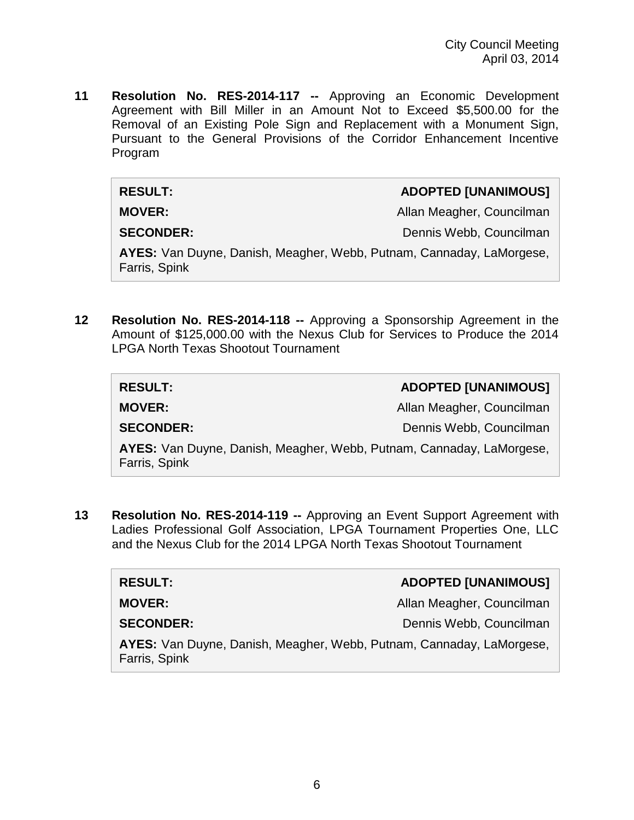**11 Resolution No. RES-2014-117 --** Approving an Economic Development Agreement with Bill Miller in an Amount Not to Exceed \$5,500.00 for the Removal of an Existing Pole Sign and Replacement with a Monument Sign, Pursuant to the General Provisions of the Corridor Enhancement Incentive Program

| <b>RESULT:</b>   | <b>ADOPTED [UNANIMOUS]</b> |
|------------------|----------------------------|
| <b>MOVER:</b>    | Allan Meagher, Councilman  |
| <b>SECONDER:</b> | Dennis Webb, Councilman    |

**AYES:** Van Duyne, Danish, Meagher, Webb, Putnam, Cannaday, LaMorgese, Farris, Spink

**12 Resolution No. RES-2014-118 --** Approving a Sponsorship Agreement in the Amount of \$125,000.00 with the Nexus Club for Services to Produce the 2014 LPGA North Texas Shootout Tournament

| <b>RESULT:</b>                                                                        | <b>ADOPTED [UNANIMOUS]</b> |
|---------------------------------------------------------------------------------------|----------------------------|
| <b>MOVER:</b>                                                                         | Allan Meagher, Councilman  |
| <b>SECONDER:</b>                                                                      | Dennis Webb, Councilman    |
| AYES: Van Duyne, Danish, Meagher, Webb, Putnam, Cannaday, LaMorgese,<br>Farris, Spink |                            |

**13 Resolution No. RES-2014-119 --** Approving an Event Support Agreement with Ladies Professional Golf Association, LPGA Tournament Properties One, LLC and the Nexus Club for the 2014 LPGA North Texas Shootout Tournament

**MOVER:** Allan Meagher, Councilman

 $RESULT:$ 

**SECONDER:** Dennis Webb, Councilman

**AYES:** Van Duyne, Danish, Meagher, Webb, Putnam, Cannaday, LaMorgese, Farris, Spink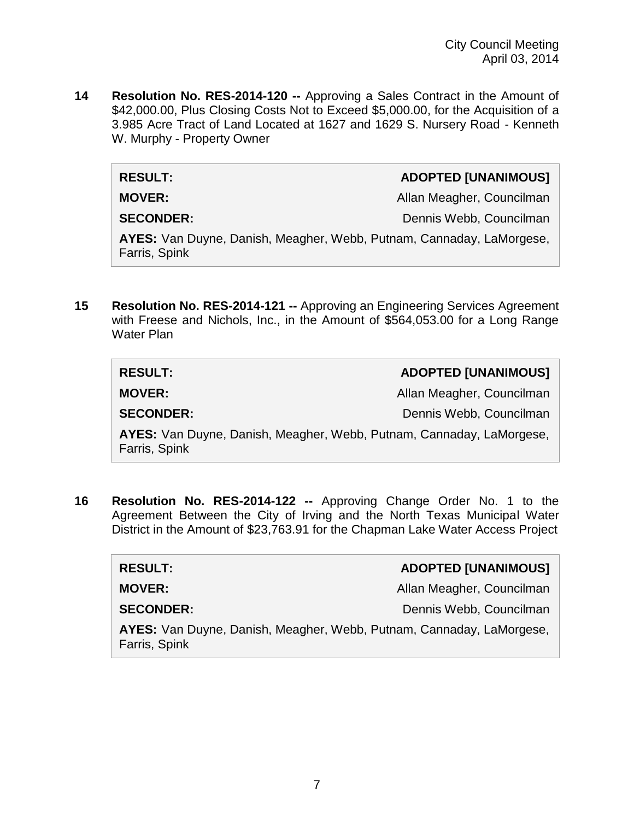**14 Resolution No. RES-2014-120 --** Approving a Sales Contract in the Amount of \$42,000.00, Plus Closing Costs Not to Exceed \$5,000.00, for the Acquisition of a 3.985 Acre Tract of Land Located at 1627 and 1629 S. Nursery Road - Kenneth W. Murphy - Property Owner

#### **RESULT: ADOPTED [UNANIMOUS]**

**MOVER:** Allan Meagher, Councilman

**SECONDER:** Dennis Webb, Councilman

**AYES:** Van Duyne, Danish, Meagher, Webb, Putnam, Cannaday, LaMorgese, Farris, Spink

**15 Resolution No. RES-2014-121 --** Approving an Engineering Services Agreement with Freese and Nichols, Inc., in the Amount of \$564,053.00 for a Long Range Water Plan

| <b>RESULT:</b>                                                       | <b>ADOPTED [UNANIMOUS]</b> |
|----------------------------------------------------------------------|----------------------------|
| <b>MOVER:</b>                                                        | Allan Meagher, Councilman  |
| <b>SECONDER:</b>                                                     | Dennis Webb, Councilman    |
| AYES: Van Duyne, Danish, Meagher, Webb, Putnam, Cannaday, LaMorgese, |                            |

Farris, Spink

**16 Resolution No. RES-2014-122 --** Approving Change Order No. 1 to the Agreement Between the City of Irving and the North Texas Municipal Water District in the Amount of \$23,763.91 for the Chapman Lake Water Access Project

| <b>RESULT:</b>                                                                        | <b>ADOPTED [UNANIMOUS]</b> |
|---------------------------------------------------------------------------------------|----------------------------|
| <b>MOVER:</b>                                                                         | Allan Meagher, Councilman  |
| <b>SECONDER:</b>                                                                      | Dennis Webb, Councilman    |
| AYES: Van Duyne, Danish, Meagher, Webb, Putnam, Cannaday, LaMorgese,<br>Farris, Spink |                            |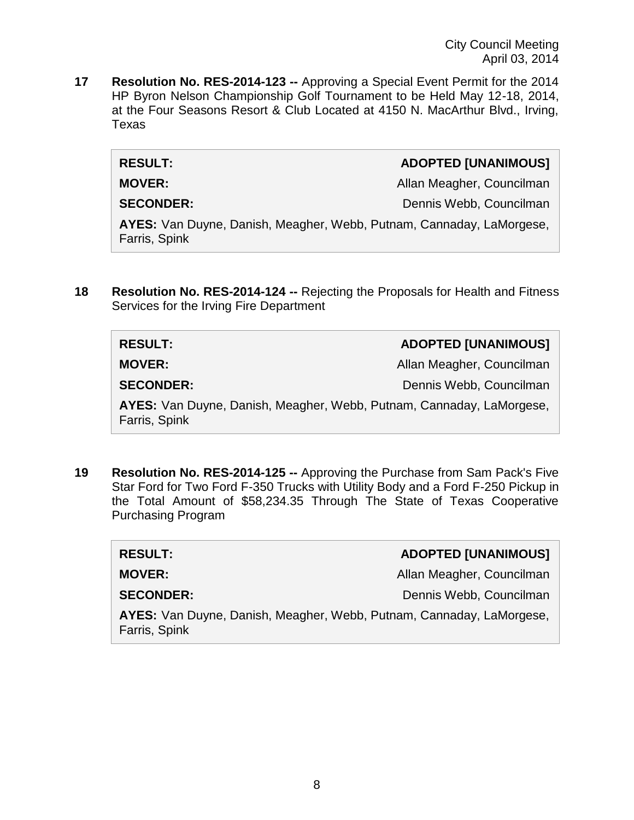City Council Meeting April 03, 2014

**17 Resolution No. RES-2014-123 --** Approving a Special Event Permit for the 2014 HP Byron Nelson Championship Golf Tournament to be Held May 12-18, 2014, at the Four Seasons Resort & Club Located at 4150 N. MacArthur Blvd., Irving, Texas

#### **RESULT: ADOPTED [UNANIMOUS]**

**MOVER:** Allan Meagher, Councilman

**SECONDER:** Dennis Webb, Councilman

**AYES:** Van Duyne, Danish, Meagher, Webb, Putnam, Cannaday, LaMorgese, Farris, Spink

**18 Resolution No. RES-2014-124 --** Rejecting the Proposals for Health and Fitness Services for the Irving Fire Department

| <b>RESULT:</b>                                                                        | <b>ADOPTED [UNANIMOUS]</b> |
|---------------------------------------------------------------------------------------|----------------------------|
| <b>MOVER:</b>                                                                         | Allan Meagher, Councilman  |
| <b>SECONDER:</b>                                                                      | Dennis Webb, Councilman    |
| AYES: Van Duyne, Danish, Meagher, Webb, Putnam, Cannaday, LaMorgese,<br>Farris, Spink |                            |

**19 Resolution No. RES-2014-125 --** Approving the Purchase from Sam Pack's Five Star Ford for Two Ford F-350 Trucks with Utility Body and a Ford F-250 Pickup in the Total Amount of \$58,234.35 Through The State of Texas Cooperative Purchasing Program

| <b>RESULT:</b>                                                                        | <b>ADOPTED [UNANIMOUS]</b> |
|---------------------------------------------------------------------------------------|----------------------------|
| <b>MOVER:</b>                                                                         | Allan Meagher, Councilman  |
| <b>SECONDER:</b>                                                                      | Dennis Webb, Councilman    |
| AYES: Van Duyne, Danish, Meagher, Webb, Putnam, Cannaday, LaMorgese,<br>Farris, Spink |                            |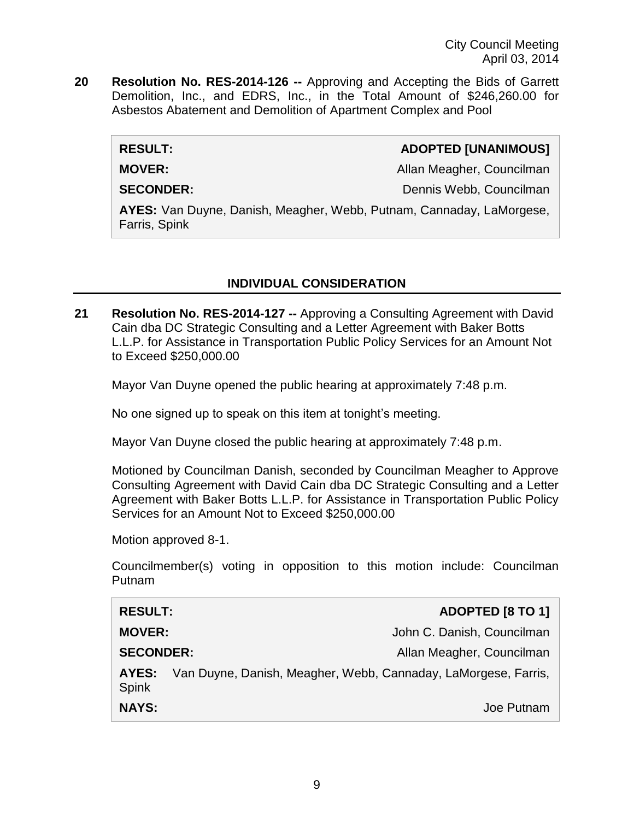City Council Meeting April 03, 2014

**20 Resolution No. RES-2014-126 --** Approving and Accepting the Bids of Garrett Demolition, Inc., and EDRS, Inc., in the Total Amount of \$246,260.00 for Asbestos Abatement and Demolition of Apartment Complex and Pool

## **RESULT: ADOPTED [UNANIMOUS]**

**MOVER:** Allan Meagher, Councilman Meagher, Councilman Meagher, Councilman

**SECONDER:** Dennis Webb, Councilman

**AYES:** Van Duyne, Danish, Meagher, Webb, Putnam, Cannaday, LaMorgese, Farris, Spink

# **INDIVIDUAL CONSIDERATION**

**21 Resolution No. RES-2014-127 --** Approving a Consulting Agreement with David Cain dba DC Strategic Consulting and a Letter Agreement with Baker Botts L.L.P. for Assistance in Transportation Public Policy Services for an Amount Not to Exceed \$250,000.00

Mayor Van Duyne opened the public hearing at approximately 7:48 p.m.

No one signed up to speak on this item at tonight's meeting.

Mayor Van Duyne closed the public hearing at approximately 7:48 p.m.

Motioned by Councilman Danish, seconded by Councilman Meagher to Approve Consulting Agreement with David Cain dba DC Strategic Consulting and a Letter Agreement with Baker Botts L.L.P. for Assistance in Transportation Public Policy Services for an Amount Not to Exceed \$250,000.00

Motion approved 8-1.

Councilmember(s) voting in opposition to this motion include: Councilman Putnam

| <b>RESULT:</b>        |                                                                | <b>ADOPTED [8 TO 1]</b>    |
|-----------------------|----------------------------------------------------------------|----------------------------|
| <b>MOVER:</b>         |                                                                | John C. Danish, Councilman |
| <b>SECONDER:</b>      |                                                                | Allan Meagher, Councilman  |
| AYES:<br><b>Spink</b> | Van Duyne, Danish, Meagher, Webb, Cannaday, LaMorgese, Farris, |                            |
| <b>NAYS:</b>          |                                                                | Joe Putnam                 |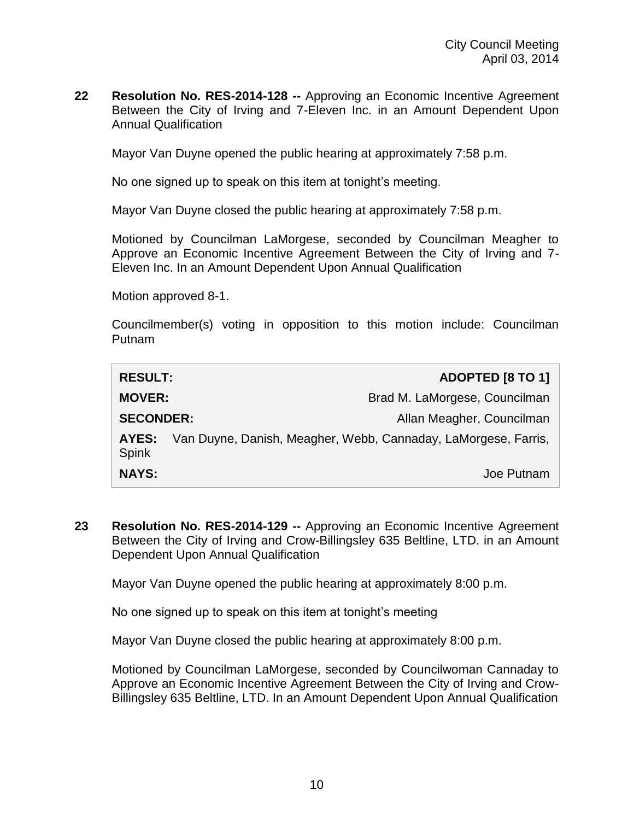**22 Resolution No. RES-2014-128 --** Approving an Economic Incentive Agreement Between the City of Irving and 7-Eleven Inc. in an Amount Dependent Upon Annual Qualification

Mayor Van Duyne opened the public hearing at approximately 7:58 p.m.

No one signed up to speak on this item at tonight's meeting.

Mayor Van Duyne closed the public hearing at approximately 7:58 p.m.

Motioned by Councilman LaMorgese, seconded by Councilman Meagher to Approve an Economic Incentive Agreement Between the City of Irving and 7- Eleven Inc. In an Amount Dependent Upon Annual Qualification

Motion approved 8-1.

Councilmember(s) voting in opposition to this motion include: Councilman Putnam

| <b>RESULT:</b>        | <b>ADOPTED [8 TO 1]</b>                                        |
|-----------------------|----------------------------------------------------------------|
| <b>MOVER:</b>         | Brad M. LaMorgese, Councilman                                  |
| <b>SECONDER:</b>      | Allan Meagher, Councilman                                      |
| AYES:<br><b>Spink</b> | Van Duyne, Danish, Meagher, Webb, Cannaday, LaMorgese, Farris, |
| <b>NAYS:</b>          | Joe Putnam                                                     |

**23 Resolution No. RES-2014-129 --** Approving an Economic Incentive Agreement Between the City of Irving and Crow-Billingsley 635 Beltline, LTD. in an Amount Dependent Upon Annual Qualification

Mayor Van Duyne opened the public hearing at approximately 8:00 p.m.

No one signed up to speak on this item at tonight's meeting

Mayor Van Duyne closed the public hearing at approximately 8:00 p.m.

Motioned by Councilman LaMorgese, seconded by Councilwoman Cannaday to Approve an Economic Incentive Agreement Between the City of Irving and Crow-Billingsley 635 Beltline, LTD. In an Amount Dependent Upon Annual Qualification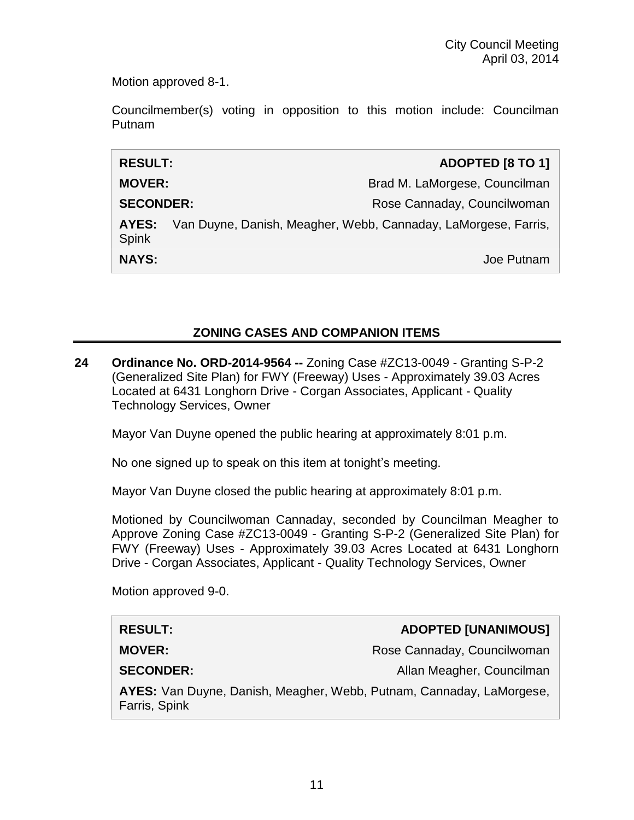Motion approved 8-1.

Councilmember(s) voting in opposition to this motion include: Councilman Putnam

| <b>RESULT:</b>        | ADOPTED [8 TO 1]                                               |
|-----------------------|----------------------------------------------------------------|
| <b>MOVER:</b>         | Brad M. LaMorgese, Councilman                                  |
| <b>SECONDER:</b>      | Rose Cannaday, Councilwoman                                    |
| AYES:<br><b>Spink</b> | Van Duyne, Danish, Meagher, Webb, Cannaday, LaMorgese, Farris, |
| <b>NAYS:</b>          | Joe Putnam                                                     |

# **ZONING CASES AND COMPANION ITEMS**

**24 Ordinance No. ORD-2014-9564 --** Zoning Case #ZC13-0049 - Granting S-P-2 (Generalized Site Plan) for FWY (Freeway) Uses - Approximately 39.03 Acres Located at 6431 Longhorn Drive - Corgan Associates, Applicant - Quality Technology Services, Owner

Mayor Van Duyne opened the public hearing at approximately 8:01 p.m.

No one signed up to speak on this item at tonight's meeting.

Mayor Van Duyne closed the public hearing at approximately 8:01 p.m.

Motioned by Councilwoman Cannaday, seconded by Councilman Meagher to Approve Zoning Case #ZC13-0049 - Granting S-P-2 (Generalized Site Plan) for FWY (Freeway) Uses - Approximately 39.03 Acres Located at 6431 Longhorn Drive - Corgan Associates, Applicant - Quality Technology Services, Owner

Motion approved 9-0.

| <b>RESULT:</b>                                                              | ADOPTED [UNANIMOUS]         |
|-----------------------------------------------------------------------------|-----------------------------|
| <b>MOVER:</b>                                                               | Rose Cannaday, Councilwoman |
| <b>SECONDER:</b>                                                            | Allan Meagher, Councilman   |
| <b>AYES:</b> Van Duyne, Danish, Meagher, Webb, Putnam, Cannaday, LaMorgese, |                             |

Farris, Spink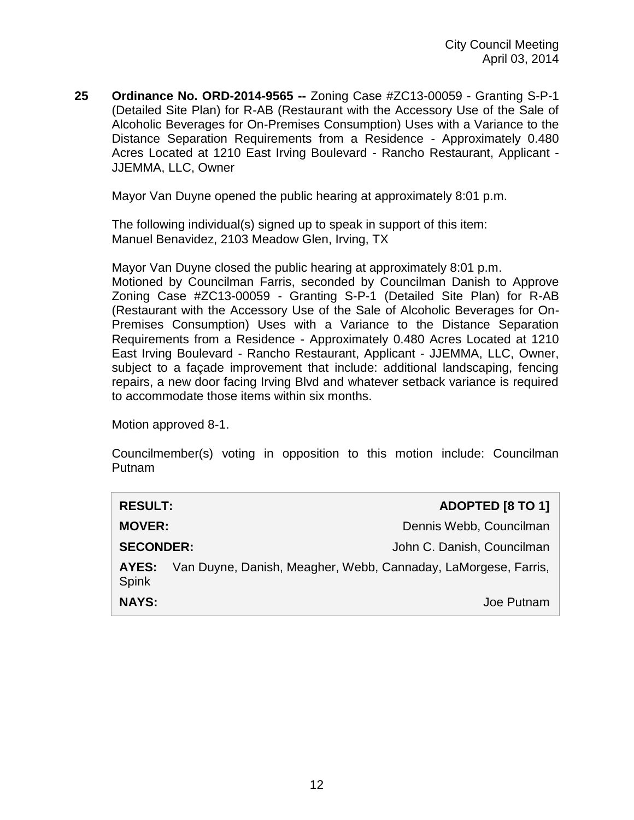**25 Ordinance No. ORD-2014-9565 --** Zoning Case #ZC13-00059 - Granting S-P-1 (Detailed Site Plan) for R-AB (Restaurant with the Accessory Use of the Sale of Alcoholic Beverages for On-Premises Consumption) Uses with a Variance to the Distance Separation Requirements from a Residence - Approximately 0.480 Acres Located at 1210 East Irving Boulevard - Rancho Restaurant, Applicant - JJEMMA, LLC, Owner

Mayor Van Duyne opened the public hearing at approximately 8:01 p.m.

The following individual(s) signed up to speak in support of this item: Manuel Benavidez, 2103 Meadow Glen, Irving, TX

Mayor Van Duyne closed the public hearing at approximately 8:01 p.m. Motioned by Councilman Farris, seconded by Councilman Danish to Approve Zoning Case #ZC13-00059 - Granting S-P-1 (Detailed Site Plan) for R-AB (Restaurant with the Accessory Use of the Sale of Alcoholic Beverages for On-Premises Consumption) Uses with a Variance to the Distance Separation Requirements from a Residence - Approximately 0.480 Acres Located at 1210 East Irving Boulevard - Rancho Restaurant, Applicant - JJEMMA, LLC, Owner, subject to a façade improvement that include: additional landscaping, fencing repairs, a new door facing Irving Blvd and whatever setback variance is required to accommodate those items within six months.

Motion approved 8-1.

Councilmember(s) voting in opposition to this motion include: Councilman Putnam

| <b>RESULT:</b>        | ADOPTED [8 TO 1]                                               |
|-----------------------|----------------------------------------------------------------|
| <b>MOVER:</b>         | Dennis Webb, Councilman                                        |
| <b>SECONDER:</b>      | John C. Danish, Councilman                                     |
| AYES:<br><b>Spink</b> | Van Duyne, Danish, Meagher, Webb, Cannaday, LaMorgese, Farris, |
| <b>NAYS:</b>          | Joe Putnam                                                     |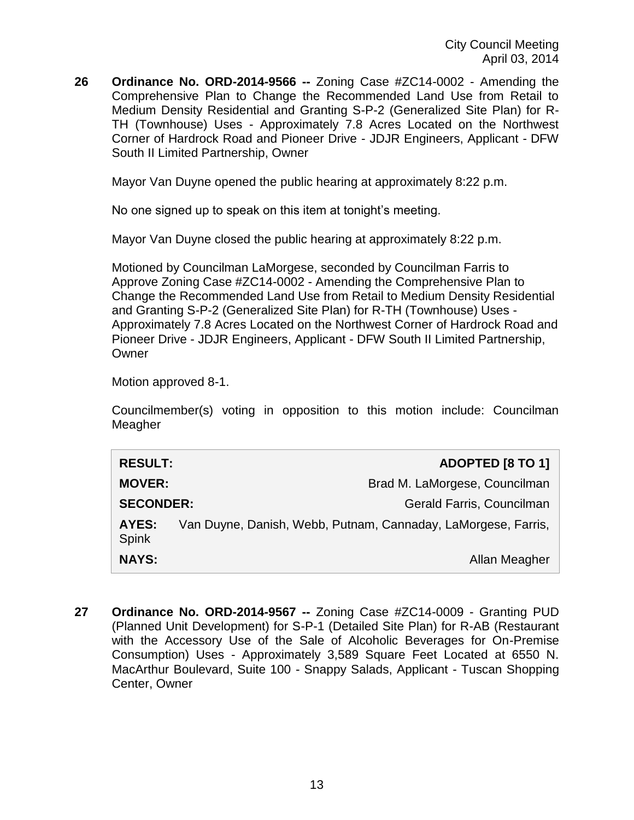**26 Ordinance No. ORD-2014-9566 --** Zoning Case #ZC14-0002 - Amending the Comprehensive Plan to Change the Recommended Land Use from Retail to Medium Density Residential and Granting S-P-2 (Generalized Site Plan) for R-TH (Townhouse) Uses - Approximately 7.8 Acres Located on the Northwest Corner of Hardrock Road and Pioneer Drive - JDJR Engineers, Applicant - DFW South II Limited Partnership, Owner

Mayor Van Duyne opened the public hearing at approximately 8:22 p.m.

No one signed up to speak on this item at tonight's meeting.

Mayor Van Duyne closed the public hearing at approximately 8:22 p.m.

Motioned by Councilman LaMorgese, seconded by Councilman Farris to Approve Zoning Case #ZC14-0002 - Amending the Comprehensive Plan to Change the Recommended Land Use from Retail to Medium Density Residential and Granting S-P-2 (Generalized Site Plan) for R-TH (Townhouse) Uses - Approximately 7.8 Acres Located on the Northwest Corner of Hardrock Road and Pioneer Drive - JDJR Engineers, Applicant - DFW South II Limited Partnership, **Owner** 

Motion approved 8-1.

Councilmember(s) voting in opposition to this motion include: Councilman Meagher

| <b>RESULT:</b>               | ADOPTED [8 TO 1]                                              |
|------------------------------|---------------------------------------------------------------|
| <b>MOVER:</b>                | Brad M. LaMorgese, Councilman                                 |
| <b>SECONDER:</b>             | Gerald Farris, Councilman                                     |
| <b>AYES:</b><br><b>Spink</b> | Van Duyne, Danish, Webb, Putnam, Cannaday, LaMorgese, Farris, |
| <b>NAYS:</b>                 | Allan Meagher                                                 |

**27 Ordinance No. ORD-2014-9567 --** Zoning Case #ZC14-0009 - Granting PUD (Planned Unit Development) for S-P-1 (Detailed Site Plan) for R-AB (Restaurant with the Accessory Use of the Sale of Alcoholic Beverages for On-Premise Consumption) Uses - Approximately 3,589 Square Feet Located at 6550 N. MacArthur Boulevard, Suite 100 - Snappy Salads, Applicant - Tuscan Shopping Center, Owner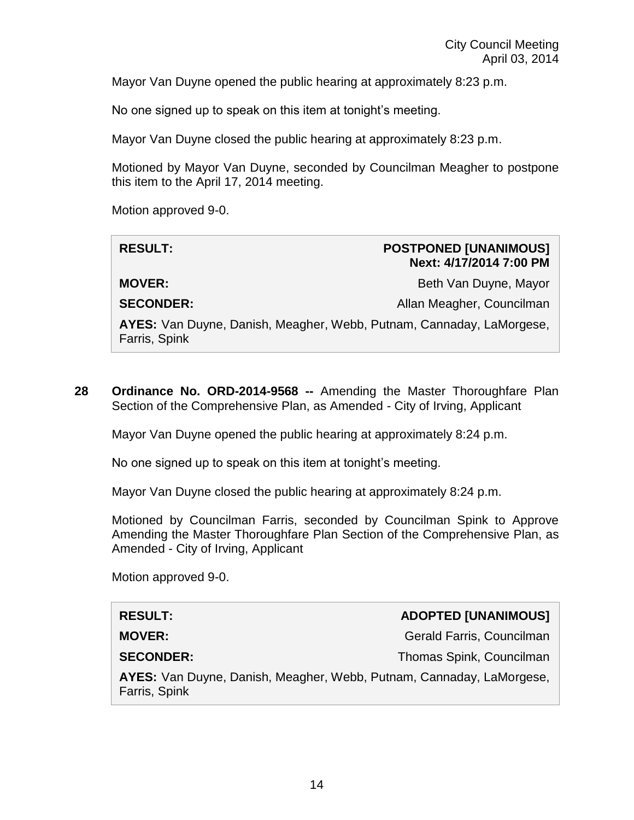Mayor Van Duyne opened the public hearing at approximately 8:23 p.m.

No one signed up to speak on this item at tonight's meeting.

Mayor Van Duyne closed the public hearing at approximately 8:23 p.m.

Motioned by Mayor Van Duyne, seconded by Councilman Meagher to postpone this item to the April 17, 2014 meeting.

Motion approved 9-0.

| <b>RESULT:</b>                                                                        | <b>POSTPONED [UNANIMOUS]</b><br>Next: 4/17/2014 7:00 PM |
|---------------------------------------------------------------------------------------|---------------------------------------------------------|
| <b>MOVER:</b>                                                                         | Beth Van Duyne, Mayor                                   |
| <b>SECONDER:</b>                                                                      | Allan Meagher, Councilman                               |
| AYES: Van Duyne, Danish, Meagher, Webb, Putnam, Cannaday, LaMorgese,<br>Farris, Spink |                                                         |

**28 Ordinance No. ORD-2014-9568 --** Amending the Master Thoroughfare Plan Section of the Comprehensive Plan, as Amended - City of Irving, Applicant

Mayor Van Duyne opened the public hearing at approximately 8:24 p.m.

No one signed up to speak on this item at tonight's meeting.

Mayor Van Duyne closed the public hearing at approximately 8:24 p.m.

Motioned by Councilman Farris, seconded by Councilman Spink to Approve Amending the Master Thoroughfare Plan Section of the Comprehensive Plan, as Amended - City of Irving, Applicant

Motion approved 9-0.

# **RESULT: ADOPTED [UNANIMOUS]**

**MOVER:** Gerald Farris, Councilman

**SECONDER:** Thomas Spink, Councilman

**AYES:** Van Duyne, Danish, Meagher, Webb, Putnam, Cannaday, LaMorgese, Farris, Spink